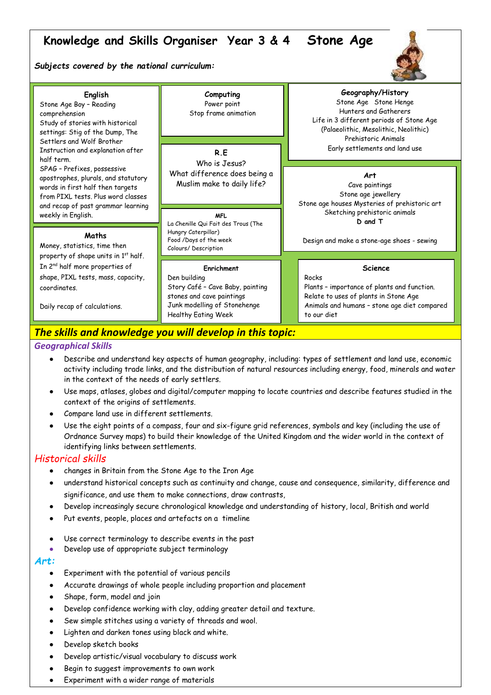# **Knowledge and Skills Organiser Year 3 & 4 Stone Age**

### *Subjects covered by the national curriculum:*



| English<br>Stone Age Boy - Reading<br>comprehension<br>Study of stories with historical<br>settings: Stig of the Dump, The<br>Settlers and Wolf Brother<br>Instruction and explanation after<br>half term.        | Computing<br>Power point<br>Stop frame animation<br>R.E<br>Who is Jesus?                                                                                  | Geography/History<br>Stone Age Stone Henge<br>Hunters and Gatherers<br>Life in 3 different periods of Stone Age<br>(Palaeolithic, Mesolithic, Neolithic)<br>Prehistoric Animals<br>Early settlements and land use |
|-------------------------------------------------------------------------------------------------------------------------------------------------------------------------------------------------------------------|-----------------------------------------------------------------------------------------------------------------------------------------------------------|-------------------------------------------------------------------------------------------------------------------------------------------------------------------------------------------------------------------|
| SPAG - Prefixes, possessive<br>apostrophes, plurals, and statutory<br>words in first half then targets<br>from PIXL tests. Plus word classes<br>and recap of past grammar learning<br>weekly in English.          | What difference does being a<br>Muslim make to daily life?<br>MFL.                                                                                        | Art<br>Cave paintings<br>Stone age jewellery<br>Stone age houses Mysteries of prehistoric art<br>Sketching prehistoric animals<br>D and T                                                                         |
| Maths<br>Money, statistics, time then<br>property of shape units in 1st half.<br>In 2 <sup>nd</sup> half more properties of<br>shape, PIXL tests, mass, capacity,<br>coordinates.<br>Daily recap of calculations. | La Chenille Qui Fait des Trous (The<br>Hungry Caterpillar)<br>Food /Days of the week<br>Colours/Description                                               | Design and make a stone-age shoes - sewing                                                                                                                                                                        |
|                                                                                                                                                                                                                   | Enrichment<br>Den building<br>Story Café - Cave Baby, painting<br>stones and cave paintings<br>Junk modelling of Stonehenge<br><b>Healthy Eating Week</b> | <b>Science</b><br>Rocks<br>Plants - importance of plants and function.<br>Relate to uses of plants in Stone Age<br>Animals and humans - stone age diet compared<br>to our diet                                    |

# The skills and knowledge you will develop in this topic:

## *Geographical Skills*

- Describe and understand key aspects of human geography, including: types of settlement and land use, economic activity including trade links, and the distribution of natural resources including energy, food, minerals and water in the context of the needs of early settlers.
- Use maps, atlases, globes and digital/computer mapping to locate countries and describe features studied in the context of the origins of settlements.
- Compare land use in different settlements.
- Use the eight points of a compass, four and six-figure grid references, symbols and key (including the use of Ordnance Survey maps) to build their knowledge of the United Kingdom and the wider world in the context of identifying links between settlements.

# *Historical skills*

- changes in Britain from the Stone Age to the Iron Age
- understand historical concepts such as continuity and change, cause and consequence, similarity, difference and significance, and use them to make connections, draw contrasts,
- Develop increasingly secure chronological knowledge and understanding of history, local, British and world
- Put events, people, places and artefacts on a timeline
- Use correct terminology to describe events in the past
- Develop use of appropriate subject terminology

# *Art:*

- Experiment with the potential of various pencils
- Accurate drawings of whole people including proportion and placement
- Shape, form, model and join
- Develop confidence working with clay, adding greater detail and texture.
- Sew simple stitches using a variety of threads and wool.
- Lighten and darken tones using black and white.
- Develop sketch books
- Develop artistic/visual vocabulary to discuss work
- Begin to suggest improvements to own work
- Experiment with a wider range of materials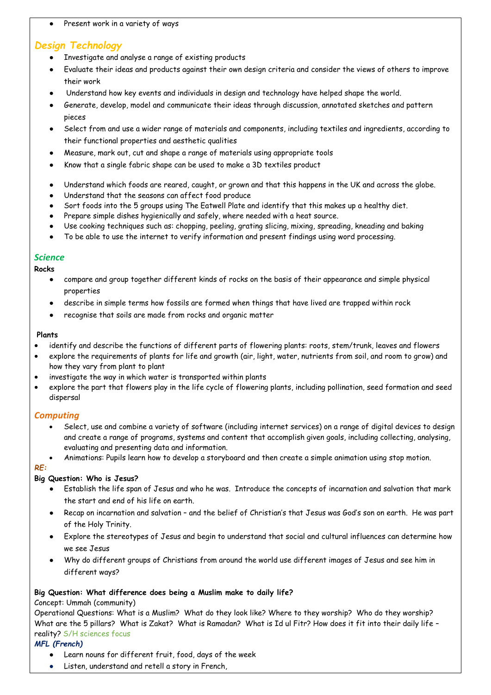● Present work in a variety of ways

# *Design Technology*

- Investigate and analyse a range of existing products
- Evaluate their ideas and products against their own design criteria and consider the views of others to improve their work
- Understand how key events and individuals in design and technology have helped shape the world.
- Generate, develop, model and communicate their ideas through discussion, annotated sketches and pattern pieces
- Select from and use a wider range of materials and components, including textiles and ingredients, according to their functional properties and aesthetic qualities
- Measure, mark out, cut and shape a range of materials using appropriate tools
- Know that a single fabric shape can be used to make a 3D textiles product
- Understand which foods are reared, caught, or grown and that this happens in the UK and across the globe.
- Understand that the seasons can affect food produce
- Sort foods into the 5 groups using The Eatwell Plate and identify that this makes up a healthy diet.
- Prepare simple dishes hygienically and safely, where needed with a heat source.
- Use cooking techniques such as: chopping, peeling, grating slicing, mixing, spreading, kneading and baking
- To be able to use the internet to verify information and present findings using word processing.

### *Science*

**Rocks**

- compare and group together different kinds of rocks on the basis of their appearance and simple physical properties
- describe in simple terms how fossils are formed when things that have lived are trapped within rock
- recognise that soils are made from rocks and organic matter

#### **Plants**

- identify and describe the functions of different parts of flowering plants: roots, stem/trunk, leaves and flowers
- explore the requirements of plants for life and growth (air, light, water, nutrients from soil, and room to grow) and how they vary from plant to plant
- investigate the way in which water is transported within plants
- explore the part that flowers play in the life cycle of flowering plants, including pollination, seed formation and seed dispersal

# *Computing*

- Select, use and combine a variety of software (including internet services) on a range of digital devices to design and create a range of programs, systems and content that accomplish given goals, including collecting, analysing, evaluating and presenting data and information.
- Animations: Pupils learn how to develop a storyboard and then create a simple animation using stop motion.

#### *RE:*

# **Big Question: Who is Jesus?**

- Establish the life span of Jesus and who he was. Introduce the concepts of incarnation and salvation that mark the start and end of his life on earth.
- Recap on incarnation and salvation and the belief of Christian's that Jesus was God's son on earth. He was part of the Holy Trinity.
- Explore the stereotypes of Jesus and begin to understand that social and cultural influences can determine how we see Jesus
- Why do different groups of Christians from around the world use different images of Jesus and see him in different ways?

#### **Big Question: What difference does being a Muslim make to daily life?**

#### Concept: Ummah (community)

Operational Questions: What is a Muslim? What do they look like? Where to they worship? Who do they worship? What are the 5 pillars? What is Zakat? What is Ramadan? What is Id ul Fitr? How does it fit into their daily life reality? S/H sciences focus

#### *MFL (French)*

- Learn nouns for different fruit, food, days of the week
- Listen, understand and retell a story in French,